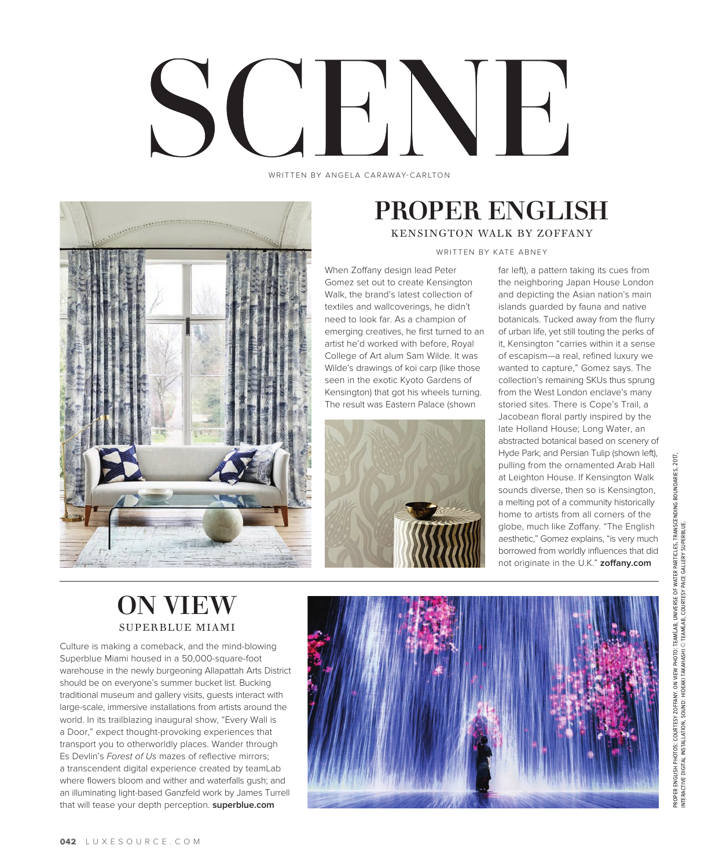# SCELL CARAWAY-CARLTON

WRITTEN BY ANGELA CARAWAY-CARLTON



## PROPER ENGLISH KENSINGTON WALK BY ZOFFANY

WRITTEN BY KATE ABNEY

When Zoffany design lead Peter Gomez set out to create Kensington Walk, the brand's latest collection of textiles and wallcoverings, he didn't need to look far. As a champion of emerging creatives, he first turned to an artist he'd worked with before, Royal College of Art alum Sam Wilde. It was Wilde's drawings of koi carp (like those seen in the exotic Kyoto Gardens of Kensington) that got his wheels turning. The result was Eastern Palace (shown



far left), a pattern taking its cues from the neighboring Japan House London and depicting the Asian nation's main islands guarded by fauna and native botanicals. Tucked away from the flurry of urban life, yet still touting the perks of it, Kensington "carries within it a sense of escapism—a real, refined luxury we wanted to capture," Gomez says. The collection's remaining SKUs thus sprung from the West London enclave's many storied sites. There is Cope's Trail, a Jacobean floral partly inspired by the late Holland House; Long Water, an abstracted botanical based on scenery of Hyde Park; and Persian Tulip (shown left), pulling from the ornamented Arab Hall at Leighton House. If Kensington Walk sounds diverse, then so is Kensington, a melting pot of a community historically home to artists from all corners of the globe, much like Zoffany. "The English aesthetic," Gomez explains, "is very much borrowed from worldly influences that did not originate in the U.K." **zoffany.com**

# ON VIEW SUPERBLUE MIAMI

Culture is making a comeback, and the mind-blowing Superblue Miami housed in a 50,000-square-foot warehouse in the newly burgeoning Allapattah Arts District should be on everyone's summer bucket list. Bucking traditional museum and gallery visits, guests interact with large-scale, immersive installations from artists around the world. In its trailblazing inaugural show, "Every Wall is a Door," expect thought-provoking experiences that transport you to otherworldly places. Wander through Es Devlin's *Forest of Us* mazes of reflective mirrors; a transcendent digital experience created by teamLab where flowers bloom and wither and waterfalls gush; and an illuminating light-based Ganzfeld work by James Turrell that will tease your depth perception. **superblue.com**

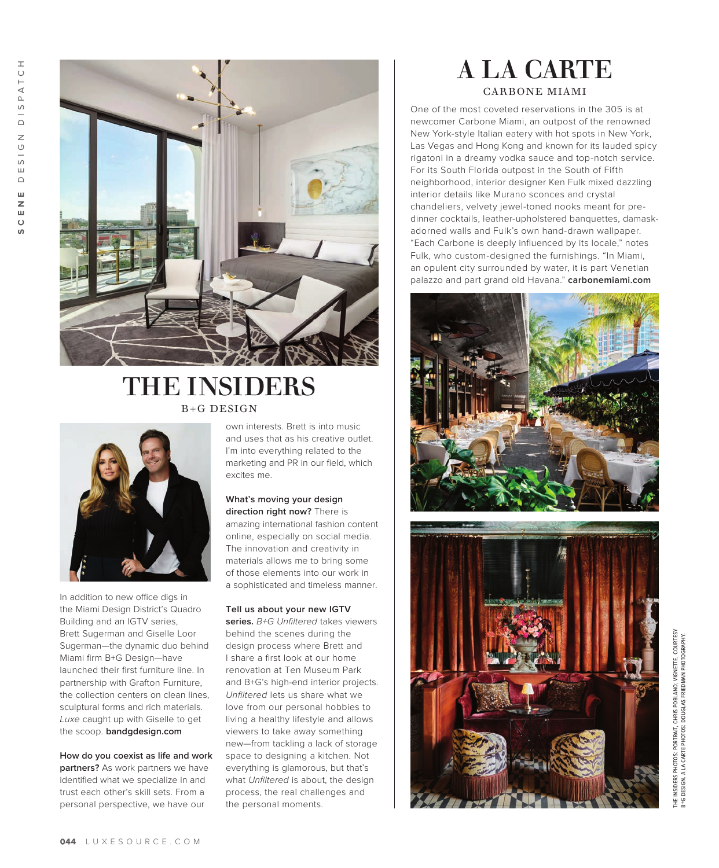S,



## THE INSIDERS B+G DESIGN



In addition to new office digs in the Miami Design District's Quadro Building and an IGTV series, Brett Sugerman and Giselle Loor Sugerman—the dynamic duo behind Miami firm B+G Design—have launched their first furniture line. In partnership with Grafton Furniture, the collection centers on clean lines, sculptural forms and rich materials. *Luxe* caught up with Giselle to get the scoop. **bandgdesign.com**

**How do you coexist as life and work partners?** As work partners we have identified what we specialize in and trust each other's skill sets. From a personal perspective, we have our

own interests. Brett is into music and uses that as his creative outlet. I'm into everything related to the marketing and PR in our field, which excites me.

#### **What's moving your design direction right now?** There is amazing international fashion content online, especially on social media. The innovation and creativity in materials allows me to bring some of those elements into our work in a sophisticated and timeless manner.

#### **Tell us about your new IGTV**

**series.** *B+G Unfiltered* takes viewers behind the scenes during the design process where Brett and I share a first look at our home renovation at Ten Museum Park and B+G's high-end interior projects. *Unfiltered* lets us share what we love from our personal hobbies to living a healthy lifestyle and allows viewers to take away something new—from tackling a lack of storage space to designing a kitchen. Not everything is glamorous, but that's what *Unfiltered* is about, the design process, the real challenges and the personal moments.

## A LA CARTE CARBONE MIAMI

One of the most coveted reservations in the 305 is at newcomer Carbone Miami, an outpost of the renowned New York-style Italian eatery with hot spots in New York, Las Vegas and Hong Kong and known for its lauded spicy rigatoni in a dreamy vodka sauce and top-notch service. For its South Florida outpost in the South of Fifth neighborhood, interior designer Ken Fulk mixed dazzling interior details like Murano sconces and crystal chandeliers, velvety jewel-toned nooks meant for predinner cocktails, leather-upholstered banquettes, damaskadorned walls and Fulk's own hand-drawn wallpaper. "Each Carbone is deeply influenced by its locale," notes Fulk, who custom-designed the furnishings. "In Miami, an opulent city surrounded by water, it is part Venetian palazzo and part grand old Havana." **carbonemiami.com**